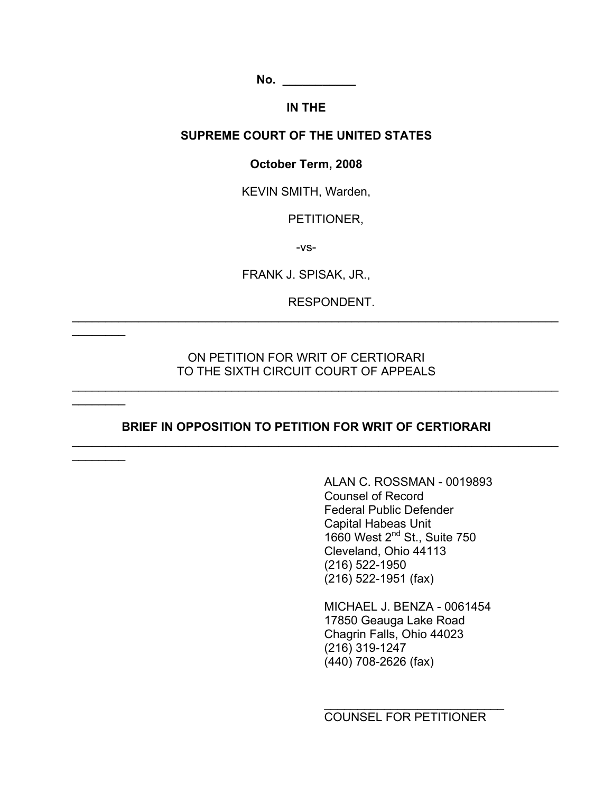**No.**  $\blacksquare$ 

### **IN THE**

### **SUPREME COURT OF THE UNITED STATES**

### **October Term, 2008**

KEVIN SMITH, Warden,

PETITIONER,

-vs-

FRANK J. SPISAK, JR.,

\_\_\_\_\_\_\_\_\_\_\_\_\_\_\_\_\_\_\_\_\_\_\_\_\_\_\_\_\_\_\_\_\_\_\_\_\_\_\_\_\_\_\_\_\_\_\_\_\_\_\_\_\_\_\_\_\_\_\_\_\_\_\_\_\_\_\_\_\_\_\_\_\_

RESPONDENT.

### ON PETITION FOR WRIT OF CERTIORARI TO THE SIXTH CIRCUIT COURT OF APPEALS

\_\_\_\_\_\_\_\_\_\_\_\_\_\_\_\_\_\_\_\_\_\_\_\_\_\_\_\_\_\_\_\_\_\_\_\_\_\_\_\_\_\_\_\_\_\_\_\_\_\_\_\_\_\_\_\_\_\_\_\_\_\_\_\_\_\_\_\_\_\_\_\_\_

 $\frac{1}{2}$ 

 $\frac{1}{2}$ 

 $\frac{1}{2}$ 

### **BRIEF IN OPPOSITION TO PETITION FOR WRIT OF CERTIORARI**

\_\_\_\_\_\_\_\_\_\_\_\_\_\_\_\_\_\_\_\_\_\_\_\_\_\_\_\_\_\_\_\_\_\_\_\_\_\_\_\_\_\_\_\_\_\_\_\_\_\_\_\_\_\_\_\_\_\_\_\_\_\_\_\_\_\_\_\_\_\_\_\_\_

ALAN C. ROSSMAN - 0019893 Counsel of Record Federal Public Defender Capital Habeas Unit 1660 West 2<sup>nd</sup> St., Suite 750 Cleveland, Ohio 44113 (216) 522-1950 (216) 522-1951 (fax)

MICHAEL J. BENZA - 0061454 17850 Geauga Lake Road Chagrin Falls, Ohio 44023 (216) 319-1247 (440) 708-2626 (fax)

COUNSEL FOR PETITIONER

 $\overline{\phantom{a}}$  , where  $\overline{\phantom{a}}$  , where  $\overline{\phantom{a}}$  , where  $\overline{\phantom{a}}$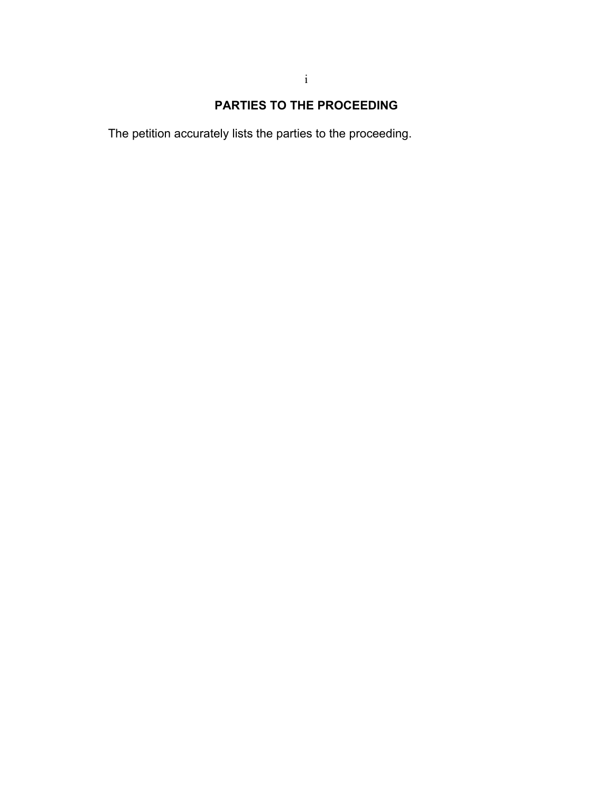# **PARTIES TO THE PROCEEDING**

The petition accurately lists the parties to the proceeding.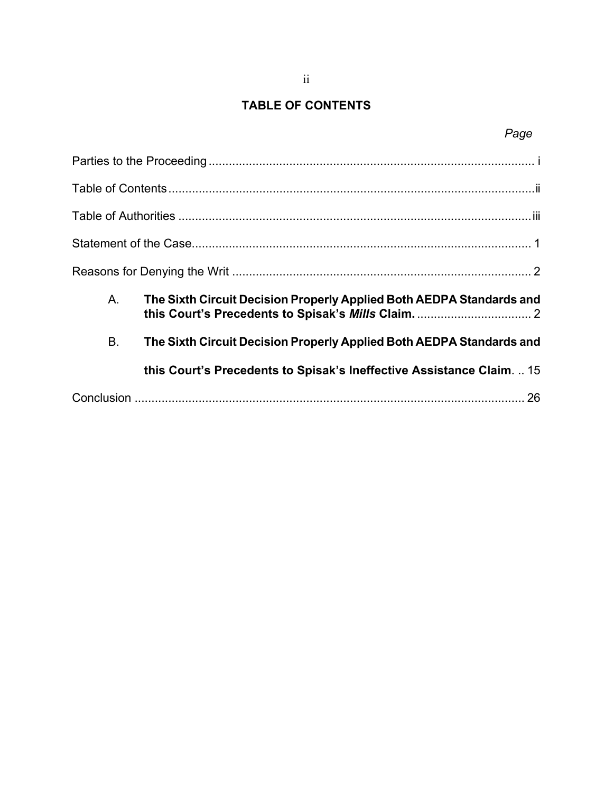# **TABLE OF CONTENTS**

# *Page*

| A.        | The Sixth Circuit Decision Properly Applied Both AEDPA Standards and |
|-----------|----------------------------------------------------------------------|
| <b>B.</b> | The Sixth Circuit Decision Properly Applied Both AEDPA Standards and |
|           | this Court's Precedents to Spisak's Ineffective Assistance Claim 15  |
|           |                                                                      |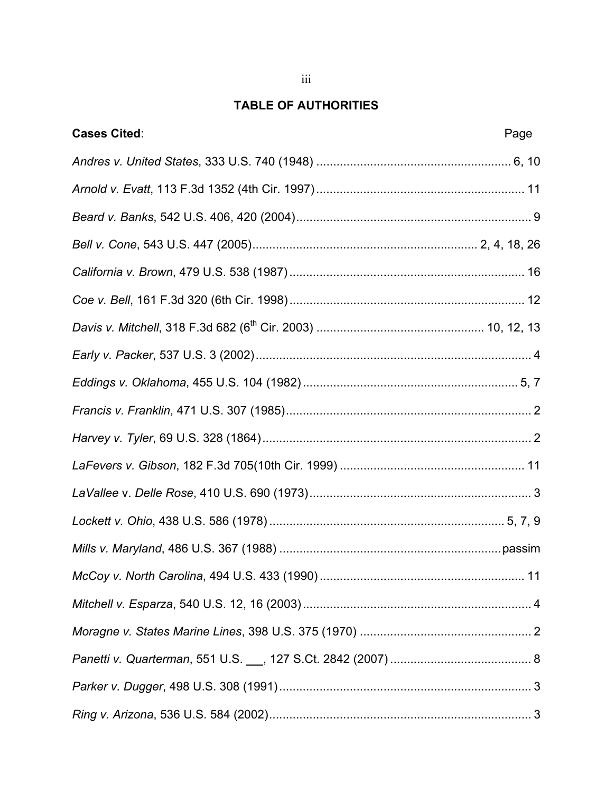# **TABLE OF AUTHORITIES**

| <b>Cases Cited:</b> | Page |
|---------------------|------|
|                     |      |
|                     |      |
|                     |      |
|                     |      |
|                     |      |
|                     |      |
|                     |      |
|                     |      |
|                     |      |
|                     |      |
|                     |      |
|                     |      |
|                     |      |
|                     |      |
|                     |      |
|                     |      |
|                     |      |
|                     |      |
|                     |      |
|                     |      |
|                     |      |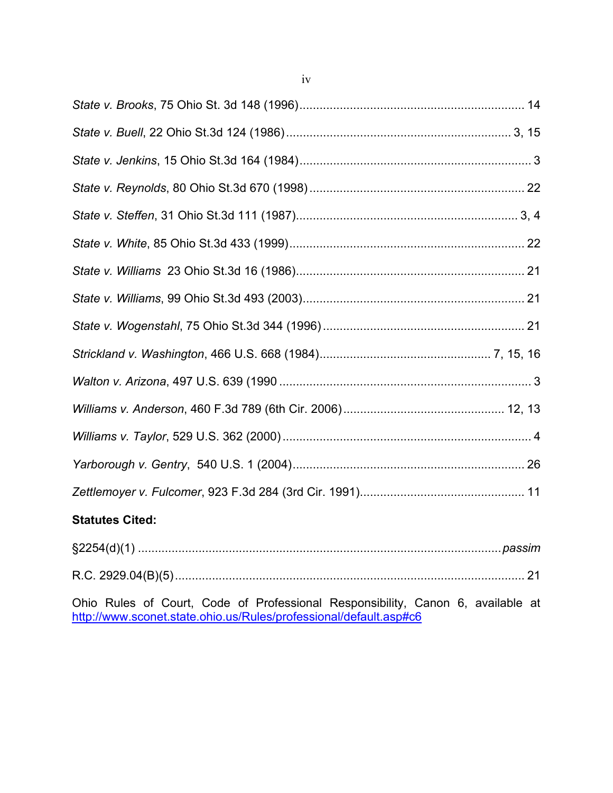| <b>Statutes Cited:</b> |  |
|------------------------|--|

| \$2254(d)(1) |  |
|--------------|--|
|              |  |

Ohio Rules of Court, Code of Professional Responsibility, Canon 6, available at http://www.sconet.state.ohio.us/Rules/professional/default.asp#c6

iv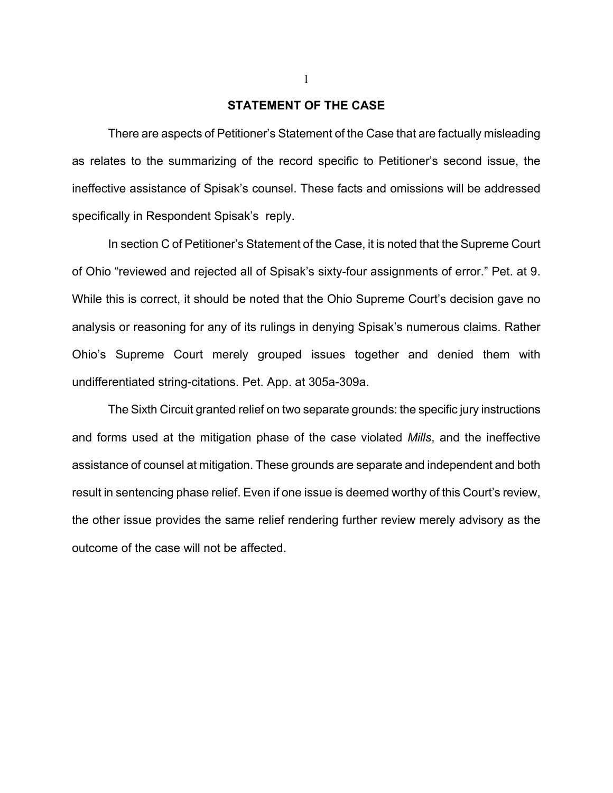### **STATEMENT OF THE CASE**

There are aspects of Petitioner's Statement of the Case that are factually misleading as relates to the summarizing of the record specific to Petitioner's second issue, the ineffective assistance of Spisak's counsel. These facts and omissions will be addressed specifically in Respondent Spisak's reply.

In section C of Petitioner's Statement of the Case, it is noted that the Supreme Court of Ohio "reviewed and rejected all of Spisak's sixty-four assignments of error." Pet. at 9. While this is correct, it should be noted that the Ohio Supreme Court's decision gave no analysis or reasoning for any of its rulings in denying Spisak's numerous claims. Rather Ohio's Supreme Court merely grouped issues together and denied them with undifferentiated string-citations. Pet. App. at 305a-309a.

The Sixth Circuit granted relief on two separate grounds: the specific jury instructions and forms used at the mitigation phase of the case violated *Mills*, and the ineffective assistance of counsel at mitigation. These grounds are separate and independent and both result in sentencing phase relief. Even if one issue is deemed worthy of this Court's review, the other issue provides the same relief rendering further review merely advisory as the outcome of the case will not be affected.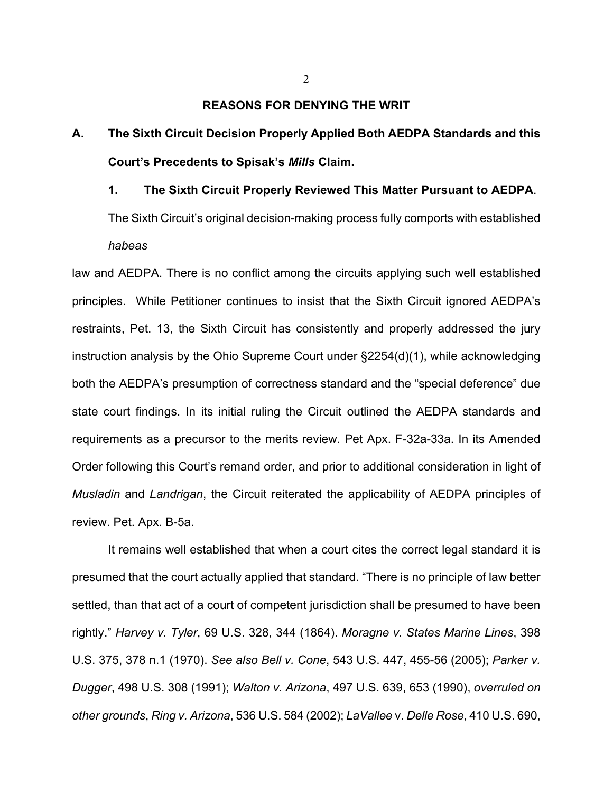### **REASONS FOR DENYING THE WRIT**

- **A. The Sixth Circuit Decision Properly Applied Both AEDPA Standards and this Court's Precedents to Spisak's** *Mills* **Claim.** 
	- **1. The Sixth Circuit Properly Reviewed This Matter Pursuant to AEDPA**. The Sixth Circuit's original decision-making process fully comports with established *habeas*

law and AEDPA. There is no conflict among the circuits applying such well established principles.While Petitioner continues to insist that the Sixth Circuit ignored AEDPA's restraints, Pet. 13, the Sixth Circuit has consistently and properly addressed the jury instruction analysis by the Ohio Supreme Court under §2254(d)(1), while acknowledging both the AEDPA's presumption of correctness standard and the "special deference" due state court findings. In its initial ruling the Circuit outlined the AEDPA standards and requirements as a precursor to the merits review. Pet Apx. F-32a-33a. In its Amended Order following this Court's remand order, and prior to additional consideration in light of *Musladin* and *Landrigan*, the Circuit reiterated the applicability of AEDPA principles of review. Pet. Apx. B-5a.

It remains well established that when a court cites the correct legal standard it is presumed that the court actually applied that standard. "There is no principle of law better settled, than that act of a court of competent jurisdiction shall be presumed to have been rightly." *Harvey v. Tyler*, 69 U.S. 328, 344 (1864). *Moragne v. States Marine Lines*, 398 U.S. 375, 378 n.1 (1970). *See also Bell v. Cone*, 543 U.S. 447, 455-56 (2005); *Parker v. Dugger*, 498 U.S. 308 (1991); *Walton v. Arizona*, 497 U.S. 639, 653 (1990), *overruled on other grounds*, *Ring v. Arizona*, 536 U.S. 584 (2002); *LaVallee* v. *Delle Rose*, 410 U.S. 690,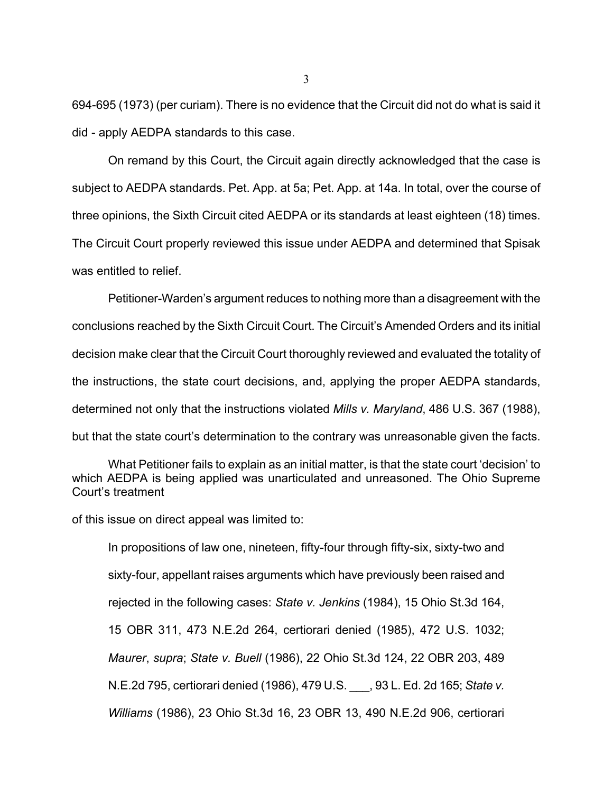694-695 (1973) (per curiam). There is no evidence that the Circuit did not do what is said it did - apply AEDPA standards to this case.

On remand by this Court, the Circuit again directly acknowledged that the case is subject to AEDPA standards. Pet. App. at 5a; Pet. App. at 14a. In total, over the course of three opinions, the Sixth Circuit cited AEDPA or its standards at least eighteen (18) times. The Circuit Court properly reviewed this issue under AEDPA and determined that Spisak was entitled to relief.

Petitioner-Warden's argument reduces to nothing more than a disagreement with the conclusions reached by the Sixth Circuit Court. The Circuit's Amended Orders and its initial decision make clear that the Circuit Court thoroughly reviewed and evaluated the totality of the instructions, the state court decisions, and, applying the proper AEDPA standards, determined not only that the instructions violated *Mills v. Maryland*, 486 U.S. 367 (1988), but that the state court's determination to the contrary was unreasonable given the facts.

What Petitioner fails to explain as an initial matter, is that the state court 'decision' to which AEDPA is being applied was unarticulated and unreasoned. The Ohio Supreme Court's treatment

of this issue on direct appeal was limited to:

In propositions of law one, nineteen, fifty-four through fifty-six, sixty-two and sixty-four, appellant raises arguments which have previously been raised and rejected in the following cases: *State v. Jenkins* (1984), 15 Ohio St.3d 164, 15 OBR 311, 473 N.E.2d 264, certiorari denied (1985), 472 U.S. 1032; *Maurer*, *supra*; *State v. Buell* (1986), 22 Ohio St.3d 124, 22 OBR 203, 489 N.E.2d 795, certiorari denied (1986), 479 U.S. \_\_\_, 93 L. Ed. 2d 165; *State v. Williams* (1986), 23 Ohio St.3d 16, 23 OBR 13, 490 N.E.2d 906, certiorari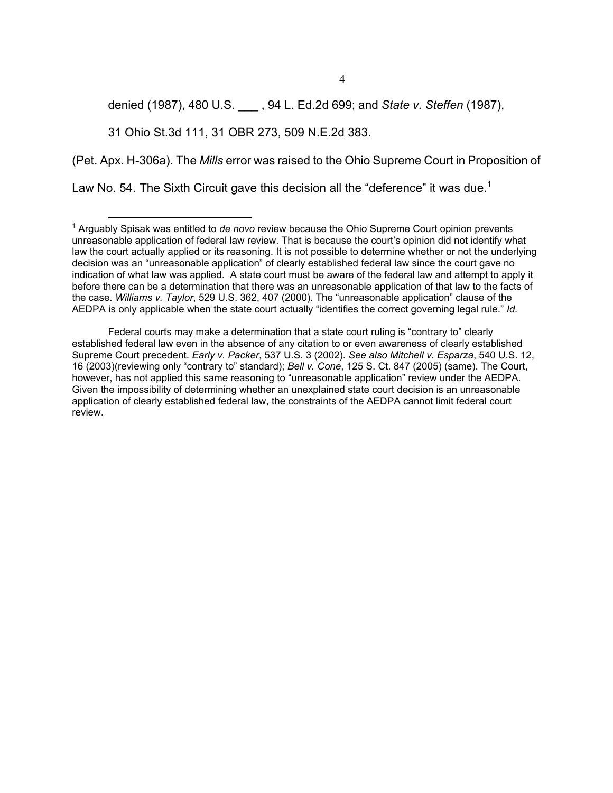denied (1987), 480 U.S. \_\_\_ , 94 L. Ed.2d 699; and *State v. Steffen* (1987),

31 Ohio St.3d 111, 31 OBR 273, 509 N.E.2d 383.

(Pet. Apx. H-306a). The *Mills* error was raised to the Ohio Supreme Court in Proposition of

Law No. 54. The Sixth Circuit gave this decision all the "deference" it was due.<sup>1</sup>

Federal courts may make a determination that a state court ruling is "contrary to" clearly established federal law even in the absence of any citation to or even awareness of clearly established Supreme Court precedent. *Early v. Packer*, 537 U.S. 3 (2002). *See also Mitchell v. Esparza*, 540 U.S. 12, 16 (2003)(reviewing only "contrary to" standard); *Bell v. Cone*, 125 S. Ct. 847 (2005) (same). The Court, however, has not applied this same reasoning to "unreasonable application" review under the AEDPA. Given the impossibility of determining whether an unexplained state court decision is an unreasonable application of clearly established federal law, the constraints of the AEDPA cannot limit federal court review.

<sup>1</sup> Arguably Spisak was entitled to *de novo* review because the Ohio Supreme Court opinion prevents unreasonable application of federal law review. That is because the court's opinion did not identify what law the court actually applied or its reasoning. It is not possible to determine whether or not the underlying decision was an "unreasonable application" of clearly established federal law since the court gave no indication of what law was applied. A state court must be aware of the federal law and attempt to apply it before there can be a determination that there was an unreasonable application of that law to the facts of the case. *Williams v. Taylor*, 529 U.S. 362, 407 (2000). The "unreasonable application" clause of the AEDPA is only applicable when the state court actually "identifies the correct governing legal rule." *Id.*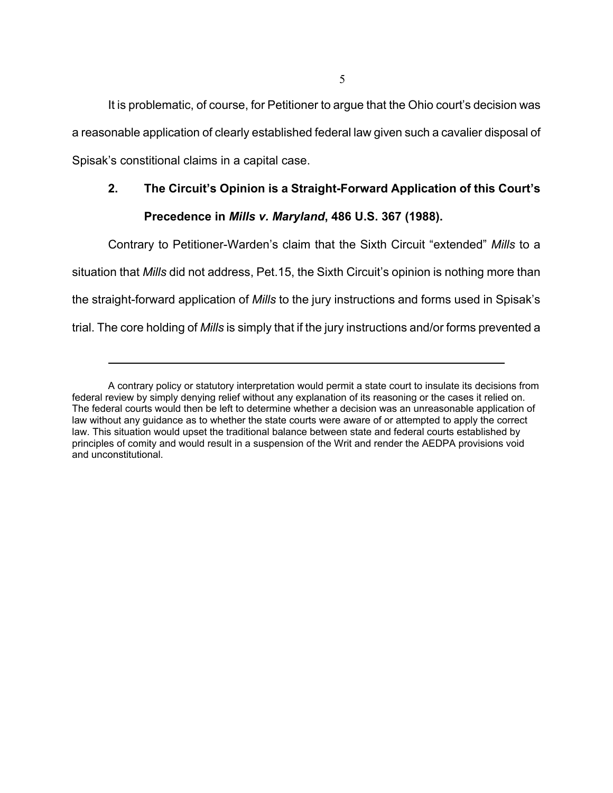It is problematic, of course, for Petitioner to argue that the Ohio court's decision was a reasonable application of clearly established federal law given such a cavalier disposal of Spisak's constitional claims in a capital case.

# **2. The Circuit's Opinion is a Straight-Forward Application of this Court's**

# **Precedence in** *Mills v. Maryland***, 486 U.S. 367 (1988).**

Contrary to Petitioner-Warden's claim that the Sixth Circuit "extended" *Mills* to a

situation that *Mills* did not address, Pet.15, the Sixth Circuit's opinion is nothing more than

the straight-forward application of *Mills* to the jury instructions and forms used in Spisak's

trial. The core holding of *Mills* is simply that if the jury instructions and/or forms prevented a

A contrary policy or statutory interpretation would permit a state court to insulate its decisions from federal review by simply denying relief without any explanation of its reasoning or the cases it relied on. The federal courts would then be left to determine whether a decision was an unreasonable application of law without any guidance as to whether the state courts were aware of or attempted to apply the correct law. This situation would upset the traditional balance between state and federal courts established by principles of comity and would result in a suspension of the Writ and render the AEDPA provisions void and unconstitutional.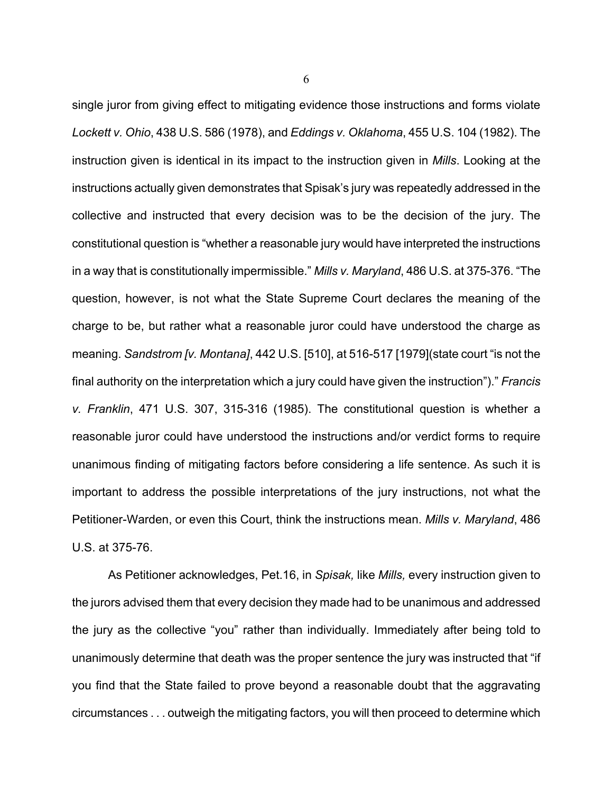single juror from giving effect to mitigating evidence those instructions and forms violate *Lockett v. Ohio*, 438 U.S. 586 (1978), and *Eddings v. Oklahoma*, 455 U.S. 104 (1982). The instruction given is identical in its impact to the instruction given in *Mills*. Looking at the instructions actually given demonstrates that Spisak's jury was repeatedly addressed in the collective and instructed that every decision was to be the decision of the jury. The constitutional question is "whether a reasonable jury would have interpreted the instructions in a way that is constitutionally impermissible." *Mills v. Maryland*, 486 U.S. at 375-376. "The question, however, is not what the State Supreme Court declares the meaning of the charge to be, but rather what a reasonable juror could have understood the charge as meaning. *Sandstrom [v. Montana]*, 442 U.S. [510], at 516-517 [1979](state court "is not the final authority on the interpretation which a jury could have given the instruction")." *Francis v. Franklin*, 471 U.S. 307, 315-316 (1985). The constitutional question is whether a reasonable juror could have understood the instructions and/or verdict forms to require unanimous finding of mitigating factors before considering a life sentence. As such it is important to address the possible interpretations of the jury instructions, not what the Petitioner-Warden, or even this Court, think the instructions mean. *Mills v. Maryland*, 486 U.S. at 375-76.

As Petitioner acknowledges, Pet.16, in *Spisak,* like *Mills,* every instruction given to the jurors advised them that every decision they made had to be unanimous and addressed the jury as the collective "you" rather than individually. Immediately after being told to unanimously determine that death was the proper sentence the jury was instructed that "if you find that the State failed to prove beyond a reasonable doubt that the aggravating circumstances . . . outweigh the mitigating factors, you will then proceed to determine which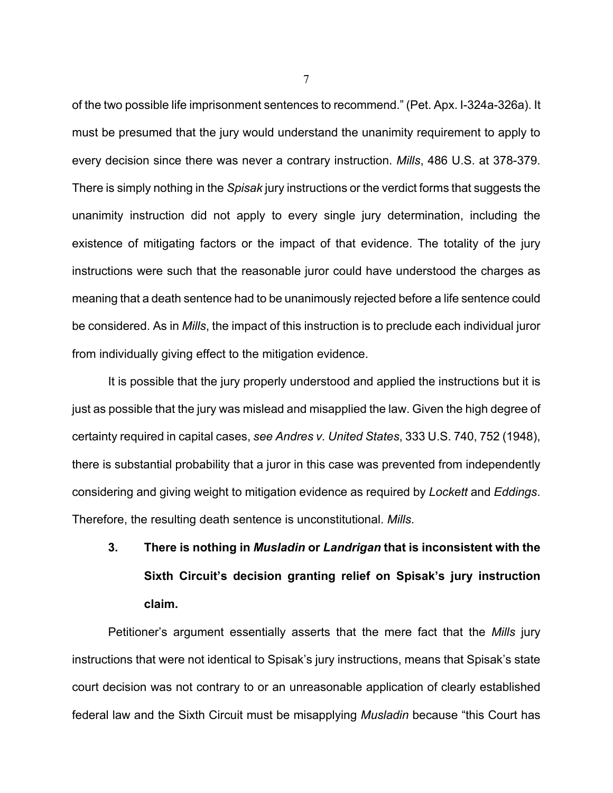of the two possible life imprisonment sentences to recommend." (Pet. Apx. I-324a-326a). It must be presumed that the jury would understand the unanimity requirement to apply to every decision since there was never a contrary instruction. *Mills*, 486 U.S. at 378-379. There is simply nothing in the *Spisak* jury instructions or the verdict forms that suggests the unanimity instruction did not apply to every single jury determination, including the existence of mitigating factors or the impact of that evidence. The totality of the jury instructions were such that the reasonable juror could have understood the charges as meaning that a death sentence had to be unanimously rejected before a life sentence could be considered. As in *Mills*, the impact of this instruction is to preclude each individual juror from individually giving effect to the mitigation evidence.

It is possible that the jury properly understood and applied the instructions but it is just as possible that the jury was mislead and misapplied the law. Given the high degree of certainty required in capital cases, *see Andres v. United States*, 333 U.S. 740, 752 (1948), there is substantial probability that a juror in this case was prevented from independently considering and giving weight to mitigation evidence as required by *Lockett* and *Eddings*. Therefore, the resulting death sentence is unconstitutional. *Mills*.

# **3. There is nothing in** *Musladin* **or** *Landrigan* **that is inconsistent with the Sixth Circuit's decision granting relief on Spisak's jury instruction claim.**

Petitioner's argument essentially asserts that the mere fact that the *Mills* jury instructions that were not identical to Spisak's jury instructions, means that Spisak's state court decision was not contrary to or an unreasonable application of clearly established federal law and the Sixth Circuit must be misapplying *Musladin* because "this Court has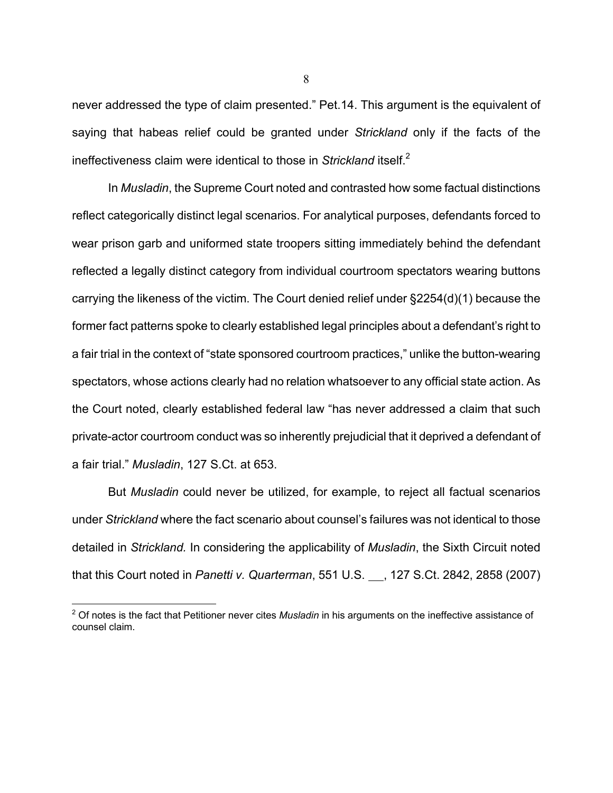never addressed the type of claim presented." Pet.14. This argument is the equivalent of saying that habeas relief could be granted under *Strickland* only if the facts of the ineffectiveness claim were identical to those in *Strickland* itself.<sup>2</sup>

In *Musladin*, the Supreme Court noted and contrasted how some factual distinctions reflect categorically distinct legal scenarios. For analytical purposes, defendants forced to wear prison garb and uniformed state troopers sitting immediately behind the defendant reflected a legally distinct category from individual courtroom spectators wearing buttons carrying the likeness of the victim. The Court denied relief under §2254(d)(1) because the former fact patterns spoke to clearly established legal principles about a defendant's right to a fair trial in the context of "state sponsored courtroom practices," unlike the button-wearing spectators, whose actions clearly had no relation whatsoever to any official state action. As the Court noted, clearly established federal law "has never addressed a claim that such private-actor courtroom conduct was so inherently prejudicial that it deprived a defendant of a fair trial." *Musladin*, 127 S.Ct. at 653.

But *Musladin* could never be utilized, for example, to reject all factual scenarios under *Strickland* where the fact scenario about counsel's failures was not identical to those detailed in *Strickland.* In considering the applicability of *Musladin*, the Sixth Circuit noted that this Court noted in *Panetti v. Quarterman*, 551 U.S. 127 S.Ct. 2842, 2858 (2007)

 $\overline{a}$ 

<sup>2</sup> Of notes is the fact that Petitioner never cites *Musladin* in his arguments on the ineffective assistance of counsel claim.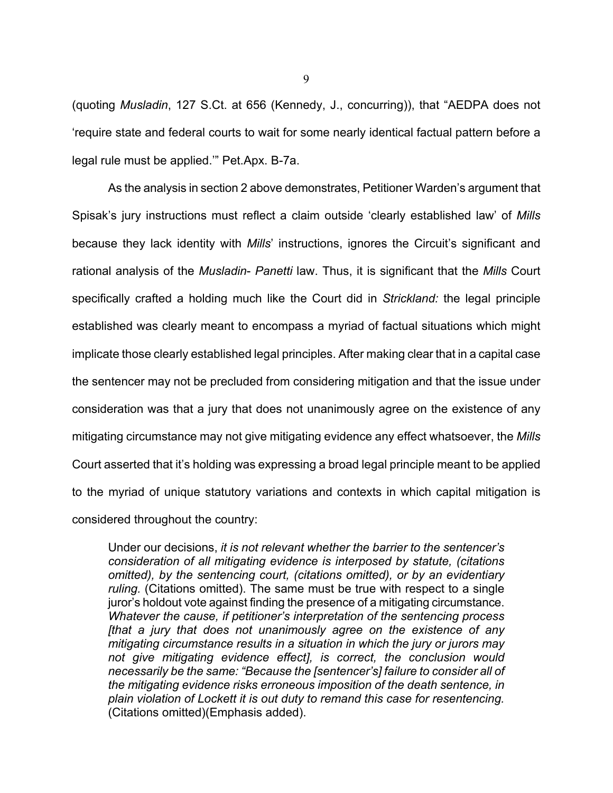(quoting *Musladin*, 127 S.Ct. at 656 (Kennedy, J., concurring)), that "AEDPA does not 'require state and federal courts to wait for some nearly identical factual pattern before a legal rule must be applied.'" Pet.Apx. B-7a.

As the analysis in section 2 above demonstrates, Petitioner Warden's argument that Spisak's jury instructions must reflect a claim outside 'clearly established law' of *Mills* because they lack identity with *Mills*' instructions, ignores the Circuit's significant and rational analysis of the *Musladin*- *Panetti* law. Thus, it is significant that the *Mills* Court specifically crafted a holding much like the Court did in *Strickland:* the legal principle established was clearly meant to encompass a myriad of factual situations which might implicate those clearly established legal principles. After making clear that in a capital case the sentencer may not be precluded from considering mitigation and that the issue under consideration was that a jury that does not unanimously agree on the existence of any mitigating circumstance may not give mitigating evidence any effect whatsoever, the *Mills* Court asserted that it's holding was expressing a broad legal principle meant to be applied to the myriad of unique statutory variations and contexts in which capital mitigation is considered throughout the country:

Under our decisions, *it is not relevant whether the barrier to the sentencer's consideration of all mitigating evidence is interposed by statute, (citations omitted), by the sentencing court, (citations omitted), or by an evidentiary ruling.* (Citations omitted). The same must be true with respect to a single juror's holdout vote against finding the presence of a mitigating circumstance. *Whatever the cause, if petitioner's interpretation of the sentencing process [that a jury that does not unanimously agree on the existence of any mitigating circumstance results in a situation in which the jury or jurors may not give mitigating evidence effect], is correct, the conclusion would necessarily be the same: "Because the [sentencer's] failure to consider all of the mitigating evidence risks erroneous imposition of the death sentence, in plain violation of Lockett it is out duty to remand this case for resentencing.* (Citations omitted)(Emphasis added).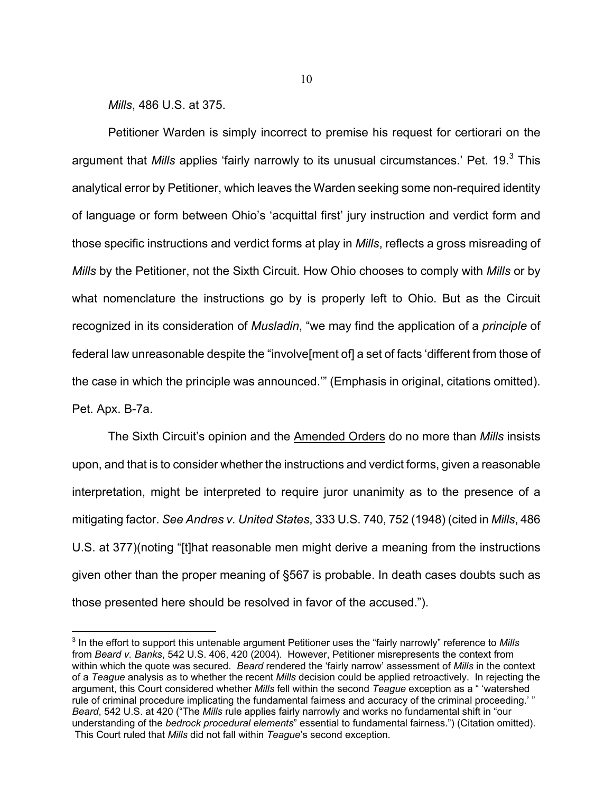*Mills*, 486 U.S. at 375.

<u>.</u>

Petitioner Warden is simply incorrect to premise his request for certiorari on the argument that *Mills* applies 'fairly narrowly to its unusual circumstances.' Pet. 19.<sup>3</sup> This analytical error by Petitioner, which leaves the Warden seeking some non-required identity of language or form between Ohio's 'acquittal first' jury instruction and verdict form and those specific instructions and verdict forms at play in *Mills*, reflects a gross misreading of *Mills* by the Petitioner, not the Sixth Circuit. How Ohio chooses to comply with *Mills* or by what nomenclature the instructions go by is properly left to Ohio. But as the Circuit recognized in its consideration of *Musladin*, "we may find the application of a *principle* of federal law unreasonable despite the "involve[ment of] a set of facts 'different from those of the case in which the principle was announced.'" (Emphasis in original, citations omitted). Pet. Apx. B-7a.

The Sixth Circuit's opinion and the Amended Orders do no more than *Mills* insists upon, and that is to consider whether the instructions and verdict forms, given a reasonable interpretation, might be interpreted to require juror unanimity as to the presence of a mitigating factor. *See Andres v. United States*, 333 U.S. 740, 752 (1948) (cited in *Mills*, 486 U.S. at 377)(noting "[t]hat reasonable men might derive a meaning from the instructions given other than the proper meaning of §567 is probable. In death cases doubts such as those presented here should be resolved in favor of the accused.").

<sup>3</sup> In the effort to support this untenable argument Petitioner uses the "fairly narrowly" reference to *Mills* from *Beard v. Banks*, 542 U.S. 406, 420 (2004). However, Petitioner misrepresents the context from within which the quote was secured. *Beard* rendered the 'fairly narrow' assessment of *Mills* in the context of a *Teague* analysis as to whether the recent *Mills* decision could be applied retroactively. In rejecting the argument, this Court considered whether *Mills* fell within the second *Teague* exception as a " 'watershed rule of criminal procedure implicating the fundamental fairness and accuracy of the criminal proceeding.' " *Beard*, 542 U.S. at 420 ("The *Mills* rule applies fairly narrowly and works no fundamental shift in "our understanding of the *bedrock procedural elements*" essential to fundamental fairness.") (Citation omitted). This Court ruled that *Mills* did not fall within *Teague*'s second exception.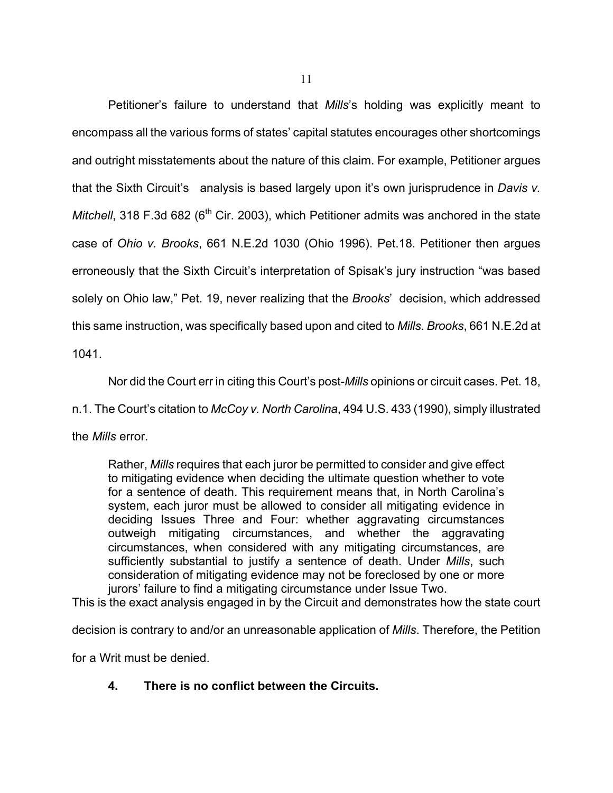Petitioner's failure to understand that *Mills*'s holding was explicitly meant to encompass all the various forms of states' capital statutes encourages other shortcomings and outright misstatements about the nature of this claim. For example, Petitioner argues that the Sixth Circuit's analysis is based largely upon it's own jurisprudence in *Davis v. Mitchell*, 318 F.3d 682 (6<sup>th</sup> Cir. 2003), which Petitioner admits was anchored in the state case of *Ohio v. Brooks*, 661 N.E.2d 1030 (Ohio 1996). Pet.18. Petitioner then argues erroneously that the Sixth Circuit's interpretation of Spisak's jury instruction "was based solely on Ohio law," Pet. 19, never realizing that the *Brooks*' decision, which addressed this same instruction, was specifically based upon and cited to *Mills*. *Brooks*, 661 N.E.2d at 1041.

Nor did the Court err in citing this Court's post-*Mills* opinions or circuit cases. Pet. 18,

n.1. The Court's citation to *McCoy v. North Carolina*, 494 U.S. 433 (1990), simply illustrated

the *Mills* error.

Rather, *Mills* requires that each juror be permitted to consider and give effect to mitigating evidence when deciding the ultimate question whether to vote for a sentence of death. This requirement means that, in North Carolina's system, each juror must be allowed to consider all mitigating evidence in deciding Issues Three and Four: whether aggravating circumstances outweigh mitigating circumstances, and whether the aggravating circumstances, when considered with any mitigating circumstances, are sufficiently substantial to justify a sentence of death. Under *Mills*, such consideration of mitigating evidence may not be foreclosed by one or more jurors' failure to find a mitigating circumstance under Issue Two.

This is the exact analysis engaged in by the Circuit and demonstrates how the state court

decision is contrary to and/or an unreasonable application of *Mills*. Therefore, the Petition

for a Writ must be denied.

## **4. There is no conflict between the Circuits.**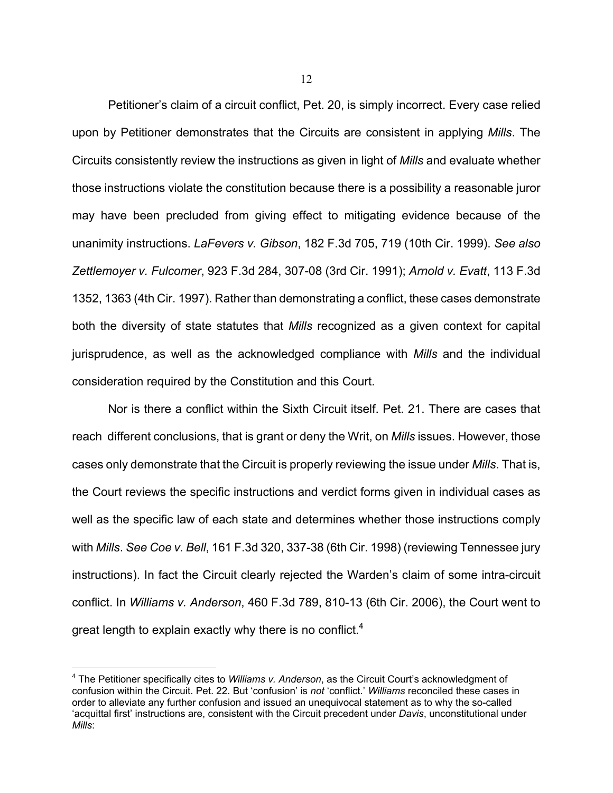Petitioner's claim of a circuit conflict, Pet. 20, is simply incorrect. Every case relied upon by Petitioner demonstrates that the Circuits are consistent in applying *Mills*. The Circuits consistently review the instructions as given in light of *Mills* and evaluate whether those instructions violate the constitution because there is a possibility a reasonable juror may have been precluded from giving effect to mitigating evidence because of the unanimity instructions. *LaFevers v. Gibson*, 182 F.3d 705, 719 (10th Cir. 1999). *See also Zettlemoyer v. Fulcomer*, 923 F.3d 284, 307-08 (3rd Cir. 1991); *Arnold v. Evatt*, 113 F.3d 1352, 1363 (4th Cir. 1997). Rather than demonstrating a conflict, these cases demonstrate both the diversity of state statutes that *Mills* recognized as a given context for capital jurisprudence, as well as the acknowledged compliance with *Mills* and the individual consideration required by the Constitution and this Court.

Nor is there a conflict within the Sixth Circuit itself. Pet. 21. There are cases that reach different conclusions, that is grant or deny the Writ, on *Mills* issues. However, those cases only demonstrate that the Circuit is properly reviewing the issue under *Mills*. That is, the Court reviews the specific instructions and verdict forms given in individual cases as well as the specific law of each state and determines whether those instructions comply with *Mills*. *See Coe v. Bell*, 161 F.3d 320, 337-38 (6th Cir. 1998) (reviewing Tennessee jury instructions). In fact the Circuit clearly rejected the Warden's claim of some intra-circuit conflict. In *Williams v. Anderson*, 460 F.3d 789, 810-13 (6th Cir. 2006), the Court went to great length to explain exactly why there is no conflict.<sup>4</sup>

<sup>4</sup> The Petitioner specifically cites to *Williams v. Anderson*, as the Circuit Court's acknowledgment of confusion within the Circuit. Pet. 22. But 'confusion' is *not* 'conflict.' *Williams* reconciled these cases in order to alleviate any further confusion and issued an unequivocal statement as to why the so-called 'acquittal first' instructions are, consistent with the Circuit precedent under *Davis*, unconstitutional under *Mills*: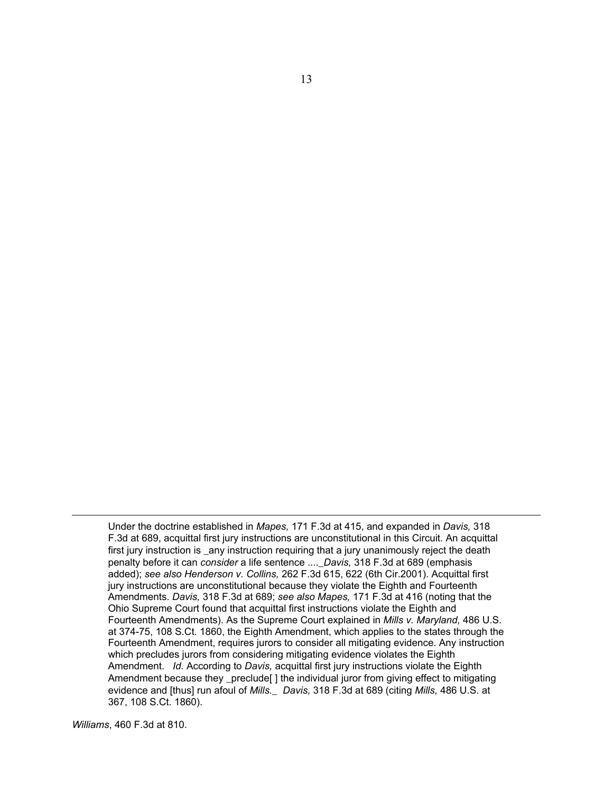Under the doctrine established in *Mapes,* 171 F.3d at 415, and expanded in *Davis,* 318 F.3d at 689, acquittal first jury instructions are unconstitutional in this Circuit. An acquittal first jury instruction is \_any instruction requiring that a jury unanimously reject the death penalty before it can *consider* a life sentence ....\_*Davis,* 318 F.3d at 689 (emphasis added); *see also Henderson v. Collins,* 262 F.3d 615, 622 (6th Cir.2001). Acquittal first jury instructions are unconstitutional because they violate the Eighth and Fourteenth Amendments. *Davis,* 318 F.3d at 689; *see also Mapes,* 171 F.3d at 416 (noting that the Ohio Supreme Court found that acquittal first instructions violate the Eighth and Fourteenth Amendments). As the Supreme Court explained in *Mills v. Maryland,* 486 U.S. at 374-75, 108 S.Ct. 1860, the Eighth Amendment, which applies to the states through the Fourteenth Amendment, requires jurors to consider all mitigating evidence. Any instruction which precludes jurors from considering mitigating evidence violates the Eighth Amendment. *Id.* According to *Davis,* acquittal first jury instructions violate the Eighth Amendment because they \_preclude[ ] the individual juror from giving effect to mitigating evidence and [thus] run afoul of *Mills.*\_ *Davis,* 318 F.3d at 689 (citing *Mills,* 486 U.S. at 367, 108 S.Ct. 1860).

*Williams*, 460 F.3d at 810.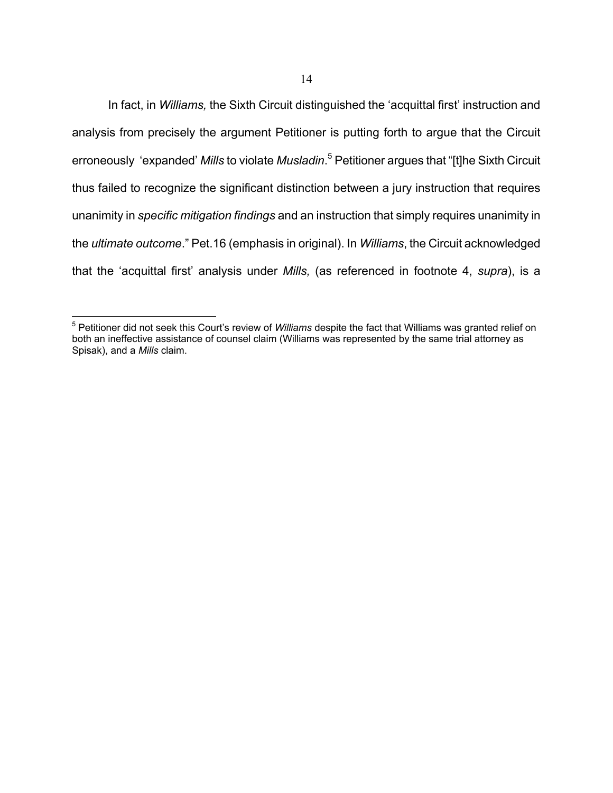In fact, in *Williams,* the Sixth Circuit distinguished the 'acquittal first' instruction and analysis from precisely the argument Petitioner is putting forth to argue that the Circuit erroneously 'expanded' *Mills* to violate *Musladin*. 5 Petitioner argues that "[t]he Sixth Circuit thus failed to recognize the significant distinction between a jury instruction that requires unanimity in *specific mitigation findings* and an instruction that simply requires unanimity in the *ultimate outcome*." Pet.16 (emphasis in original). In *Williams*, the Circuit acknowledged that the 'acquittal first' analysis under *Mills,* (as referenced in footnote 4, *supra*), is a

<sup>5</sup> Petitioner did not seek this Court's review of *Williams* despite the fact that Williams was granted relief on both an ineffective assistance of counsel claim (Williams was represented by the same trial attorney as Spisak), and a *Mills* claim.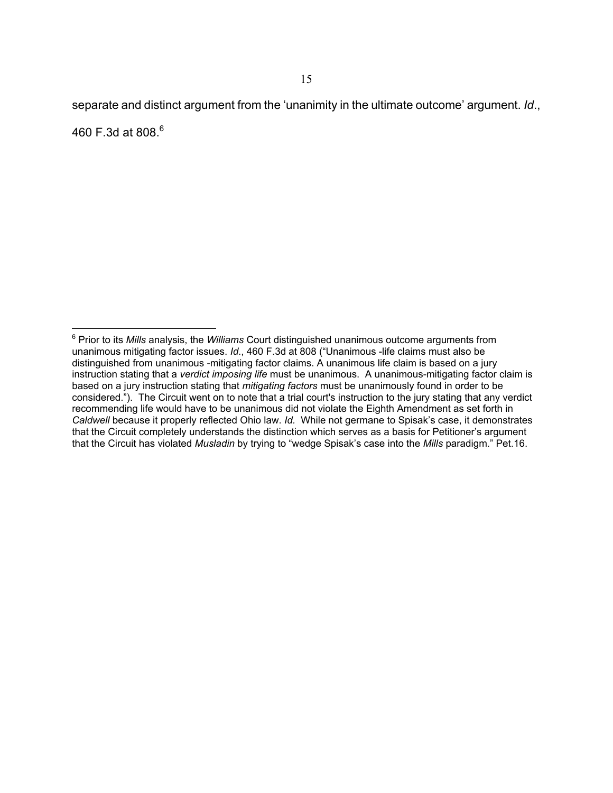separate and distinct argument from the 'unanimity in the ultimate outcome' argument. *Id*., 460 F.3d at 808. $^{6}$ 

 $\overline{a}$ 6 Prior to its *Mills* analysis, the *Williams* Court distinguished unanimous outcome arguments from unanimous mitigating factor issues. *Id*., 460 F.3d at 808 ("Unanimous -life claims must also be distinguished from unanimous -mitigating factor claims. A unanimous life claim is based on a jury instruction stating that a *verdict imposing life* must be unanimous. A unanimous-mitigating factor claim is based on a jury instruction stating that *mitigating factors* must be unanimously found in order to be considered."). The Circuit went on to note that a trial court's instruction to the jury stating that any verdict recommending life would have to be unanimous did not violate the Eighth Amendment as set forth in *Caldwell* because it properly reflected Ohio law. *Id.* While not germane to Spisak's case, it demonstrates that the Circuit completely understands the distinction which serves as a basis for Petitioner's argument that the Circuit has violated *Musladin* by trying to "wedge Spisak's case into the *Mills* paradigm." Pet.16.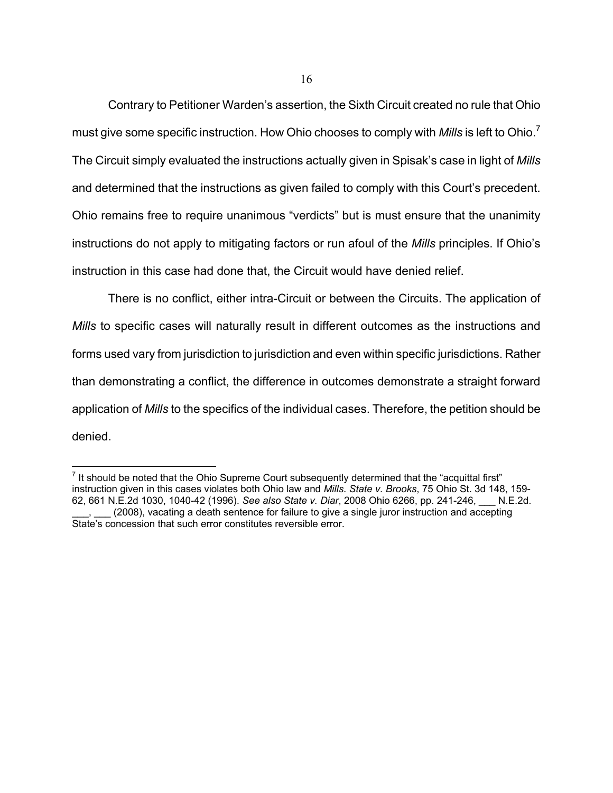Contrary to Petitioner Warden's assertion, the Sixth Circuit created no rule that Ohio must give some specific instruction. How Ohio chooses to comply with *Mills* is left to Ohio.<sup>7</sup> The Circuit simply evaluated the instructions actually given in Spisak's case in light of *Mills* and determined that the instructions as given failed to comply with this Court's precedent. Ohio remains free to require unanimous "verdicts" but is must ensure that the unanimity instructions do not apply to mitigating factors or run afoul of the *Mills* principles. If Ohio's instruction in this case had done that, the Circuit would have denied relief.

There is no conflict, either intra-Circuit or between the Circuits. The application of *Mills* to specific cases will naturally result in different outcomes as the instructions and forms used vary from jurisdiction to jurisdiction and even within specific jurisdictions. Rather than demonstrating a conflict, the difference in outcomes demonstrate a straight forward application of *Mills* to the specifics of the individual cases. Therefore, the petition should be denied.

<u>.</u>

 $<sup>7</sup>$  It should be noted that the Ohio Supreme Court subsequently determined that the "acquittal first"</sup> instruction given in this cases violates both Ohio law and *Mills*. *State v. Brooks*, 75 Ohio St. 3d 148, 159- 62, 661 N.E.2d 1030, 1040-42 (1996). *See also State v. Diar*, 2008 Ohio 6266, pp. 241-246, \_\_\_ N.E.2d. (2008), vacating a death sentence for failure to give a single juror instruction and accepting State's concession that such error constitutes reversible error.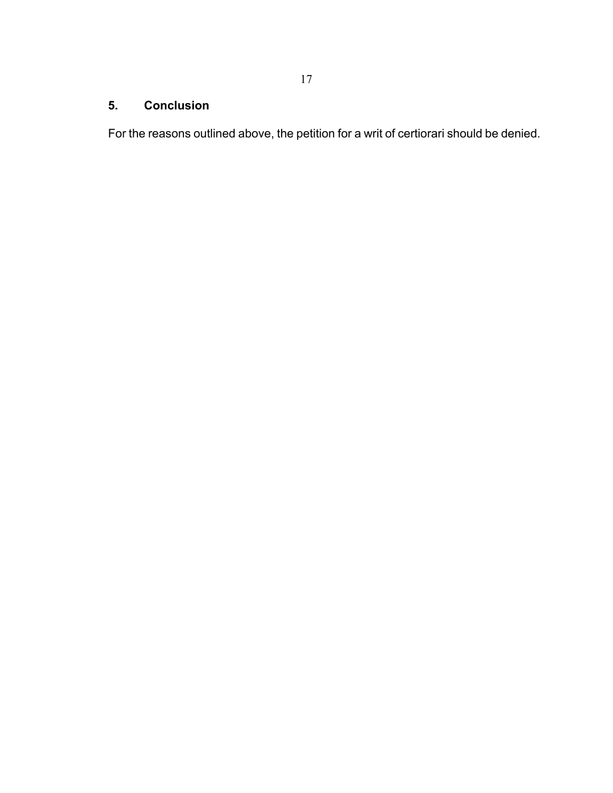# **5. Conclusion**

For the reasons outlined above, the petition for a writ of certiorari should be denied.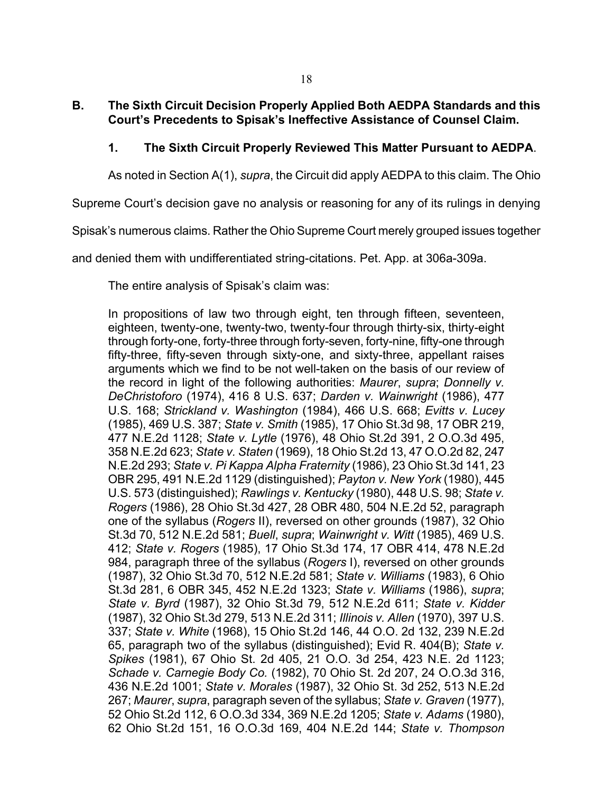## **B. The Sixth Circuit Decision Properly Applied Both AEDPA Standards and this Court's Precedents to Spisak's Ineffective Assistance of Counsel Claim.**

# **1. The Sixth Circuit Properly Reviewed This Matter Pursuant to AEDPA**.

As noted in Section A(1), *supra*, the Circuit did apply AEDPA to this claim. The Ohio

Supreme Court's decision gave no analysis or reasoning for any of its rulings in denying

Spisak's numerous claims. Rather the Ohio Supreme Court merely grouped issues together

and denied them with undifferentiated string-citations. Pet. App. at 306a-309a.

The entire analysis of Spisak's claim was:

In propositions of law two through eight, ten through fifteen, seventeen, eighteen, twenty-one, twenty-two, twenty-four through thirty-six, thirty-eight through forty-one, forty-three through forty-seven, forty-nine, fifty-one through fifty-three, fifty-seven through sixty-one, and sixty-three, appellant raises arguments which we find to be not well-taken on the basis of our review of the record in light of the following authorities: *Maurer*, *supra*; *Donnelly v. DeChristoforo* (1974), 416 8 U.S. 637; *Darden v. Wainwright* (1986), 477 U.S. 168; *Strickland v. Washington* (1984), 466 U.S. 668; *Evitts v. Lucey*  (1985), 469 U.S. 387; *State v. Smith* (1985), 17 Ohio St.3d 98, 17 OBR 219, 477 N.E.2d 1128; *State v. Lytle* (1976), 48 Ohio St.2d 391, 2 O.O.3d 495, 358 N.E.2d 623; *State v. Staten* (1969), 18 Ohio St.2d 13, 47 O.O.2d 82, 247 N.E.2d 293; *State v. Pi Kappa Alpha Fraternity* (1986), 23 Ohio St.3d 141, 23 OBR 295, 491 N.E.2d 1129 (distinguished); *Payton v. New York* (1980), 445 U.S. 573 (distinguished); *Rawlings v. Kentucky* (1980), 448 U.S. 98; *State v. Rogers* (1986), 28 Ohio St.3d 427, 28 OBR 480, 504 N.E.2d 52, paragraph one of the syllabus (*Rogers* II), reversed on other grounds (1987), 32 Ohio St.3d 70, 512 N.E.2d 581; *Buell*, *supra*; *Wainwright v. Witt* (1985), 469 U.S. 412; *State v. Rogers* (1985), 17 Ohio St.3d 174, 17 OBR 414, 478 N.E.2d 984, paragraph three of the syllabus (*Rogers* I), reversed on other grounds (1987), 32 Ohio St.3d 70, 512 N.E.2d 581; *State v. Williams* (1983), 6 Ohio St.3d 281, 6 OBR 345, 452 N.E.2d 1323; *State v. Williams* (1986), *supra*; *State v. Byrd* (1987), 32 Ohio St.3d 79, 512 N.E.2d 611; *State v. Kidder*  (1987), 32 Ohio St.3d 279, 513 N.E.2d 311; *Illinois v. Allen* (1970), 397 U.S. 337; *State v. White* (1968), 15 Ohio St.2d 146, 44 O.O. 2d 132, 239 N.E.2d 65, paragraph two of the syllabus (distinguished); Evid R. 404(B); *State v. Spikes* (1981), 67 Ohio St. 2d 405, 21 O.O. 3d 254, 423 N.E. 2d 1123; *Schade v. Carnegie Body Co.* (1982), 70 Ohio St. 2d 207, 24 O.O.3d 316, 436 N.E.2d 1001; *State v. Morales* (1987), 32 Ohio St. 3d 252, 513 N.E.2d 267; *Maurer*, *supra*, paragraph seven of the syllabus; *State v. Graven* (1977), 52 Ohio St.2d 112, 6 O.O.3d 334, 369 N.E.2d 1205; *State v. Adams* (1980), 62 Ohio St.2d 151, 16 O.O.3d 169, 404 N.E.2d 144; *State v. Thompson*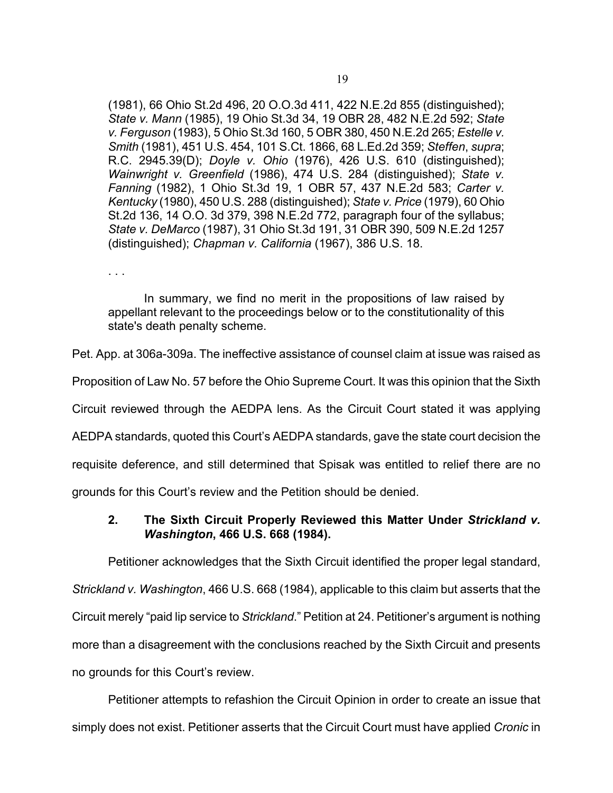(1981), 66 Ohio St.2d 496, 20 O.O.3d 411, 422 N.E.2d 855 (distinguished); *State v. Mann* (1985), 19 Ohio St.3d 34, 19 OBR 28, 482 N.E.2d 592; *State v. Ferguson* (1983), 5 Ohio St.3d 160, 5 OBR 380, 450 N.E.2d 265; *Estelle v. Smith* (1981), 451 U.S. 454, 101 S.Ct. 1866, 68 L.Ed.2d 359; *Steffen*, *supra*; R.C. 2945.39(D); *Doyle v. Ohio* (1976), 426 U.S. 610 (distinguished); *Wainwright v. Greenfield* (1986), 474 U.S. 284 (distinguished); *State v. Fanning* (1982), 1 Ohio St.3d 19, 1 OBR 57, 437 N.E.2d 583; *Carter v. Kentucky* (1980), 450 U.S. 288 (distinguished); *State v. Price* (1979), 60 Ohio St.2d 136, 14 O.O. 3d 379, 398 N.E.2d 772, paragraph four of the syllabus; *State v. DeMarco* (1987), 31 Ohio St.3d 191, 31 OBR 390, 509 N.E.2d 1257 (distinguished); *Chapman v. California* (1967), 386 U.S. 18.

. . .

In summary, we find no merit in the propositions of law raised by appellant relevant to the proceedings below or to the constitutionality of this state's death penalty scheme.

Pet. App. at 306a-309a. The ineffective assistance of counsel claim at issue was raised as

Proposition of Law No. 57 before the Ohio Supreme Court. It was this opinion that the Sixth

Circuit reviewed through the AEDPA lens. As the Circuit Court stated it was applying

AEDPA standards, quoted this Court's AEDPA standards, gave the state court decision the

requisite deference, and still determined that Spisak was entitled to relief there are no

grounds for this Court's review and the Petition should be denied.

## **2. The Sixth Circuit Properly Reviewed this Matter Under** *Strickland v. Washington***, 466 U.S. 668 (1984).**

Petitioner acknowledges that the Sixth Circuit identified the proper legal standard, *Strickland v. Washington*, 466 U.S. 668 (1984), applicable to this claim but asserts that the Circuit merely "paid lip service to *Strickland*." Petition at 24. Petitioner's argument is nothing more than a disagreement with the conclusions reached by the Sixth Circuit and presents no grounds for this Court's review.

Petitioner attempts to refashion the Circuit Opinion in order to create an issue that simply does not exist. Petitioner asserts that the Circuit Court must have applied *Cronic* in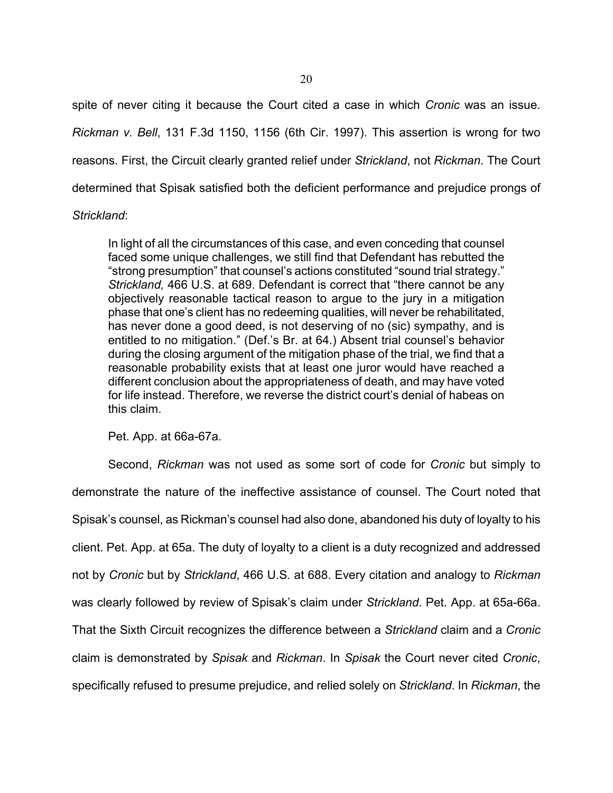spite of never citing it because the Court cited a case in which *Cronic* was an issue. *Rickman v. Bell*, 131 F.3d 1150, 1156 (6th Cir. 1997). This assertion is wrong for two reasons. First, the Circuit clearly granted relief under *Strickland*, not *Rickman*. The Court determined that Spisak satisfied both the deficient performance and prejudice prongs of

### *Strickland*:

In light of all the circumstances of this case, and even conceding that counsel faced some unique challenges, we still find that Defendant has rebutted the "strong presumption" that counsel's actions constituted "sound trial strategy." *Strickland,* 466 U.S. at 689. Defendant is correct that "there cannot be any objectively reasonable tactical reason to argue to the jury in a mitigation phase that one's client has no redeeming qualities, will never be rehabilitated, has never done a good deed, is not deserving of no (sic) sympathy, and is entitled to no mitigation." (Def.'s Br. at 64.) Absent trial counsel's behavior during the closing argument of the mitigation phase of the trial, we find that a reasonable probability exists that at least one juror would have reached a different conclusion about the appropriateness of death, and may have voted for life instead. Therefore, we reverse the district court's denial of habeas on this claim.

Pet. App. at 66a-67a.

Second, *Rickman* was not used as some sort of code for *Cronic* but simply to demonstrate the nature of the ineffective assistance of counsel. The Court noted that Spisak's counsel, as Rickman's counsel had also done, abandoned his duty of loyalty to his client. Pet. App. at 65a. The duty of loyalty to a client is a duty recognized and addressed not by *Cronic* but by *Strickland*, 466 U.S. at 688. Every citation and analogy to *Rickman* was clearly followed by review of Spisak's claim under *Strickland*. Pet. App. at 65a-66a. That the Sixth Circuit recognizes the difference between a *Strickland* claim and a *Cronic* claim is demonstrated by *Spisak* and *Rickman*. In *Spisak* the Court never cited *Cronic*, specifically refused to presume prejudice, and relied solely on *Strickland*. In *Rickman*, the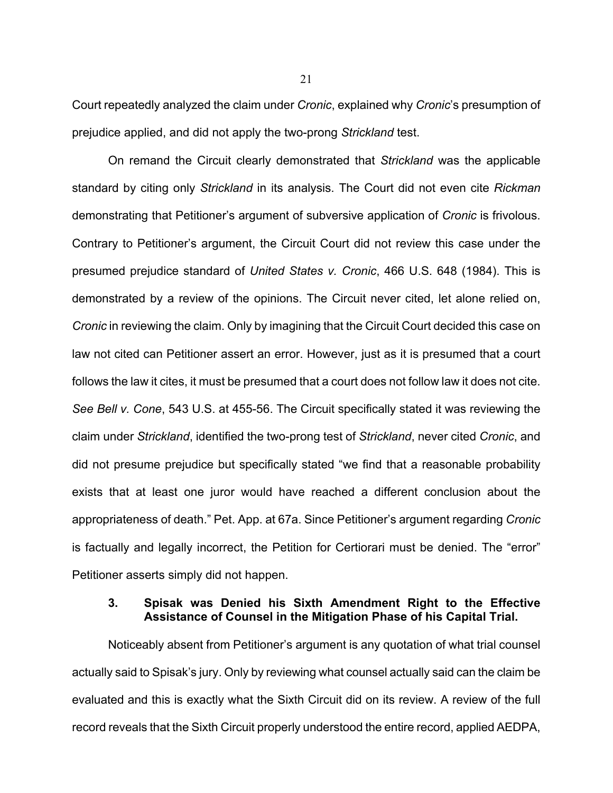Court repeatedly analyzed the claim under *Cronic*, explained why *Cronic*'s presumption of prejudice applied, and did not apply the two-prong *Strickland* test.

On remand the Circuit clearly demonstrated that *Strickland* was the applicable standard by citing only *Strickland* in its analysis. The Court did not even cite *Rickman* demonstrating that Petitioner's argument of subversive application of *Cronic* is frivolous. Contrary to Petitioner's argument, the Circuit Court did not review this case under the presumed prejudice standard of *United States v. Cronic*, 466 U.S. 648 (1984). This is demonstrated by a review of the opinions. The Circuit never cited, let alone relied on, *Cronic* in reviewing the claim. Only by imagining that the Circuit Court decided this case on law not cited can Petitioner assert an error. However, just as it is presumed that a court follows the law it cites, it must be presumed that a court does not follow law it does not cite. *See Bell v. Cone*, 543 U.S. at 455-56. The Circuit specifically stated it was reviewing the claim under *Strickland*, identified the two-prong test of *Strickland*, never cited *Cronic*, and did not presume prejudice but specifically stated "we find that a reasonable probability exists that at least one juror would have reached a different conclusion about the appropriateness of death." Pet. App. at 67a. Since Petitioner's argument regarding *Cronic* is factually and legally incorrect, the Petition for Certiorari must be denied. The "error" Petitioner asserts simply did not happen.

### **3. Spisak was Denied his Sixth Amendment Right to the Effective Assistance of Counsel in the Mitigation Phase of his Capital Trial.**

Noticeably absent from Petitioner's argument is any quotation of what trial counsel actually said to Spisak's jury. Only by reviewing what counsel actually said can the claim be evaluated and this is exactly what the Sixth Circuit did on its review. A review of the full record reveals that the Sixth Circuit properly understood the entire record, applied AEDPA,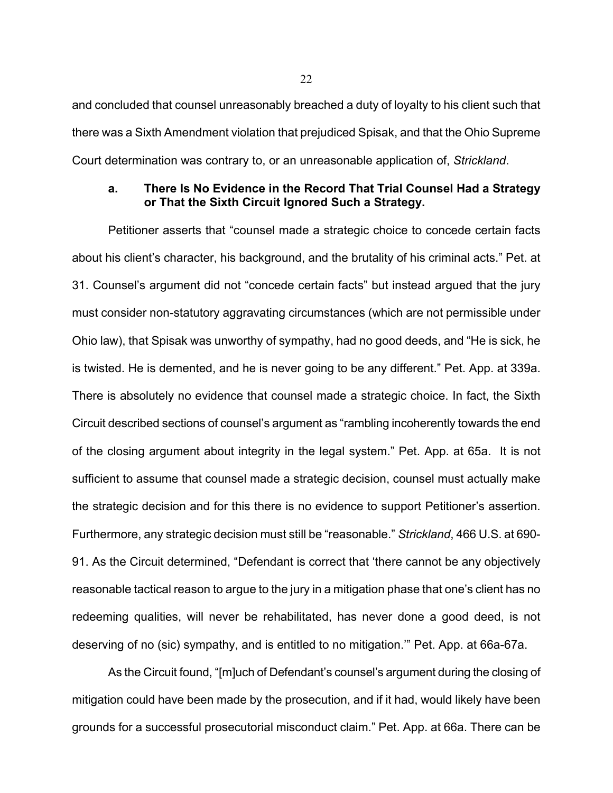and concluded that counsel unreasonably breached a duty of loyalty to his client such that there was a Sixth Amendment violation that prejudiced Spisak, and that the Ohio Supreme Court determination was contrary to, or an unreasonable application of, *Strickland*.

### **a. There Is No Evidence in the Record That Trial Counsel Had a Strategy or That the Sixth Circuit Ignored Such a Strategy.**

Petitioner asserts that "counsel made a strategic choice to concede certain facts about his client's character, his background, and the brutality of his criminal acts." Pet. at 31. Counsel's argument did not "concede certain facts" but instead argued that the jury must consider non-statutory aggravating circumstances (which are not permissible under Ohio law), that Spisak was unworthy of sympathy, had no good deeds, and "He is sick, he is twisted. He is demented, and he is never going to be any different." Pet. App. at 339a. There is absolutely no evidence that counsel made a strategic choice. In fact, the Sixth Circuit described sections of counsel's argument as "rambling incoherently towards the end of the closing argument about integrity in the legal system." Pet. App. at 65a. It is not sufficient to assume that counsel made a strategic decision, counsel must actually make the strategic decision and for this there is no evidence to support Petitioner's assertion. Furthermore, any strategic decision must still be "reasonable." *Strickland*, 466 U.S. at 690- 91. As the Circuit determined, "Defendant is correct that 'there cannot be any objectively reasonable tactical reason to argue to the jury in a mitigation phase that one's client has no redeeming qualities, will never be rehabilitated, has never done a good deed, is not deserving of no (sic) sympathy, and is entitled to no mitigation.'" Pet. App. at 66a-67a.

As the Circuit found, "[m]uch of Defendant's counsel's argument during the closing of mitigation could have been made by the prosecution, and if it had, would likely have been grounds for a successful prosecutorial misconduct claim." Pet. App. at 66a. There can be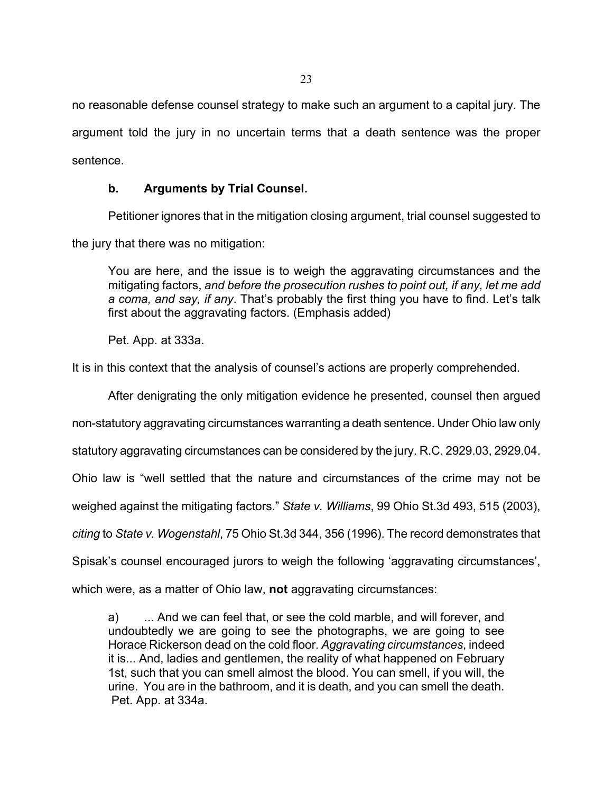no reasonable defense counsel strategy to make such an argument to a capital jury. The argument told the jury in no uncertain terms that a death sentence was the proper sentence.

# **b. Arguments by Trial Counsel.**

Petitioner ignores that in the mitigation closing argument, trial counsel suggested to the jury that there was no mitigation:

You are here, and the issue is to weigh the aggravating circumstances and the mitigating factors, *and before the prosecution rushes to point out, if any, let me add a coma, and say, if any*. That's probably the first thing you have to find. Let's talk first about the aggravating factors. (Emphasis added)

Pet. App. at 333a.

It is in this context that the analysis of counsel's actions are properly comprehended.

After denigrating the only mitigation evidence he presented, counsel then argued

non-statutory aggravating circumstances warranting a death sentence. Under Ohio law only

statutory aggravating circumstances can be considered by the jury. R.C. 2929.03, 2929.04.

Ohio law is "well settled that the nature and circumstances of the crime may not be

weighed against the mitigating factors." *State v. Williams*, 99 Ohio St.3d 493, 515 (2003),

*citing* to *State v. Wogenstahl*, 75 Ohio St.3d 344, 356 (1996). The record demonstrates that

Spisak's counsel encouraged jurors to weigh the following 'aggravating circumstances',

which were, as a matter of Ohio law, **not** aggravating circumstances:

a) ... And we can feel that, or see the cold marble, and will forever, and undoubtedly we are going to see the photographs, we are going to see Horace Rickerson dead on the cold floor. *Aggravating circumstances*, indeed it is... And, ladies and gentlemen, the reality of what happened on February 1st, such that you can smell almost the blood. You can smell, if you will, the urine. You are in the bathroom, and it is death, and you can smell the death. Pet. App. at 334a.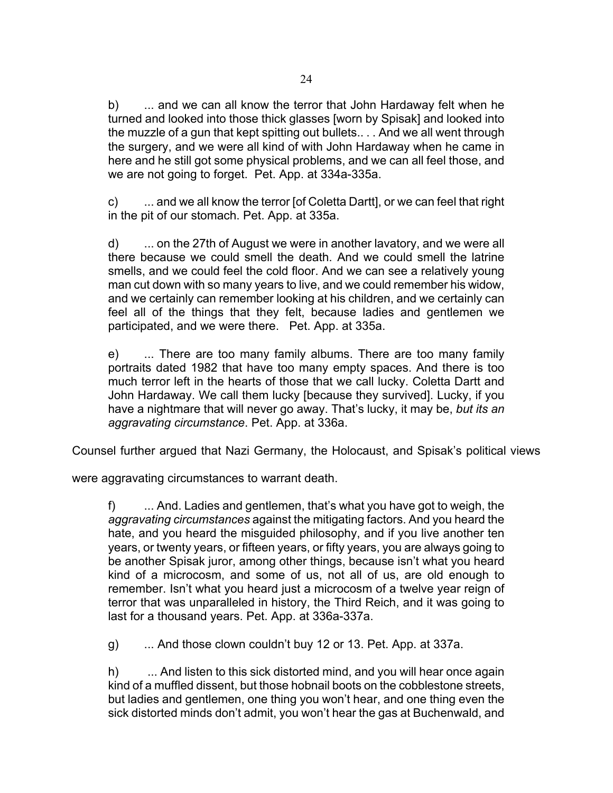b) ... and we can all know the terror that John Hardaway felt when he turned and looked into those thick glasses [worn by Spisak] and looked into the muzzle of a gun that kept spitting out bullets.. . . And we all went through the surgery, and we were all kind of with John Hardaway when he came in here and he still got some physical problems, and we can all feel those, and we are not going to forget. Pet. App. at 334a-335a.

c) ... and we all know the terror [of Coletta Dartt], or we can feel that right in the pit of our stomach. Pet. App. at 335a.

d) ... on the 27th of August we were in another lavatory, and we were all there because we could smell the death. And we could smell the latrine smells, and we could feel the cold floor. And we can see a relatively young man cut down with so many years to live, and we could remember his widow, and we certainly can remember looking at his children, and we certainly can feel all of the things that they felt, because ladies and gentlemen we participated, and we were there. Pet. App. at 335a.

e) ... There are too many family albums. There are too many family portraits dated 1982 that have too many empty spaces. And there is too much terror left in the hearts of those that we call lucky. Coletta Dartt and John Hardaway. We call them lucky [because they survived]. Lucky, if you have a nightmare that will never go away. That's lucky, it may be, *but its an aggravating circumstance*. Pet. App. at 336a.

Counsel further argued that Nazi Germany, the Holocaust, and Spisak's political views

were aggravating circumstances to warrant death.

f) ... And. Ladies and gentlemen, that's what you have got to weigh, the *aggravating circumstances* against the mitigating factors. And you heard the hate, and you heard the misguided philosophy, and if you live another ten years, or twenty years, or fifteen years, or fifty years, you are always going to be another Spisak juror, among other things, because isn't what you heard kind of a microcosm, and some of us, not all of us, are old enough to remember. Isn't what you heard just a microcosm of a twelve year reign of terror that was unparalleled in history, the Third Reich, and it was going to last for a thousand years. Pet. App. at 336a-337a.

g) ... And those clown couldn't buy 12 or 13. Pet. App. at 337a.

h) ... And listen to this sick distorted mind, and you will hear once again kind of a muffled dissent, but those hobnail boots on the cobblestone streets, but ladies and gentlemen, one thing you won't hear, and one thing even the sick distorted minds don't admit, you won't hear the gas at Buchenwald, and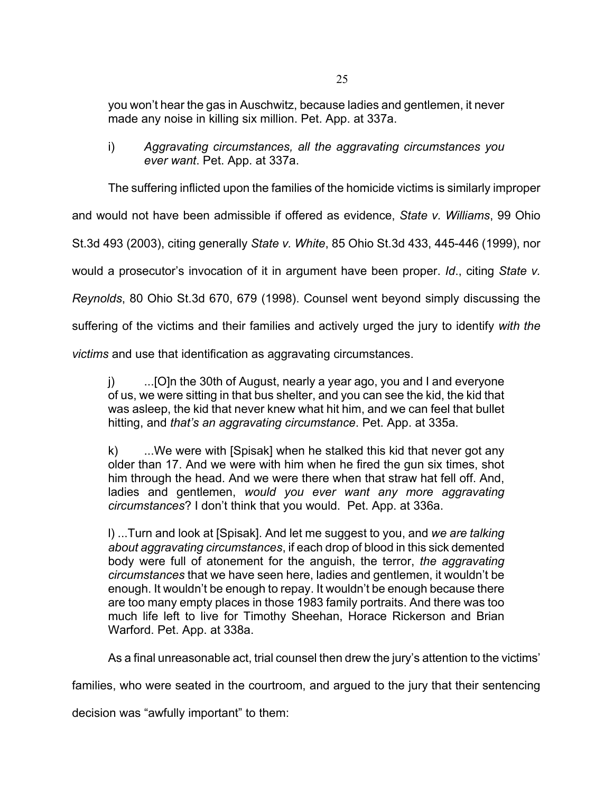you won't hear the gas in Auschwitz, because ladies and gentlemen, it never made any noise in killing six million. Pet. App. at 337a.

i) *Aggravating circumstances, all the aggravating circumstances you ever want*. Pet. App. at 337a.

The suffering inflicted upon the families of the homicide victims is similarly improper

and would not have been admissible if offered as evidence, *State v. Williams*, 99 Ohio

St.3d 493 (2003), citing generally *State v. White*, 85 Ohio St.3d 433, 445-446 (1999), nor

would a prosecutor's invocation of it in argument have been proper. *Id*., citing *State v.* 

*Reynolds*, 80 Ohio St.3d 670, 679 (1998). Counsel went beyond simply discussing the

suffering of the victims and their families and actively urged the jury to identify *with the* 

*victims* and use that identification as aggravating circumstances.

j) ...[O]n the 30th of August, nearly a year ago, you and I and everyone of us, we were sitting in that bus shelter, and you can see the kid, the kid that was asleep, the kid that never knew what hit him, and we can feel that bullet hitting, and *that's an aggravating circumstance*. Pet. App. at 335a.

k) ...We were with [Spisak] when he stalked this kid that never got any older than 17. And we were with him when he fired the gun six times, shot him through the head. And we were there when that straw hat fell off. And, ladies and gentlemen, *would you ever want any more aggravating circumstances*? I don't think that you would. Pet. App. at 336a.

l) ...Turn and look at [Spisak]. And let me suggest to you, and *we are talking about aggravating circumstances*, if each drop of blood in this sick demented body were full of atonement for the anguish, the terror, *the aggravating circumstances* that we have seen here, ladies and gentlemen, it wouldn't be enough. It wouldn't be enough to repay. It wouldn't be enough because there are too many empty places in those 1983 family portraits. And there was too much life left to live for Timothy Sheehan, Horace Rickerson and Brian Warford. Pet. App. at 338a.

As a final unreasonable act, trial counsel then drew the jury's attention to the victims'

families, who were seated in the courtroom, and argued to the jury that their sentencing

decision was "awfully important" to them: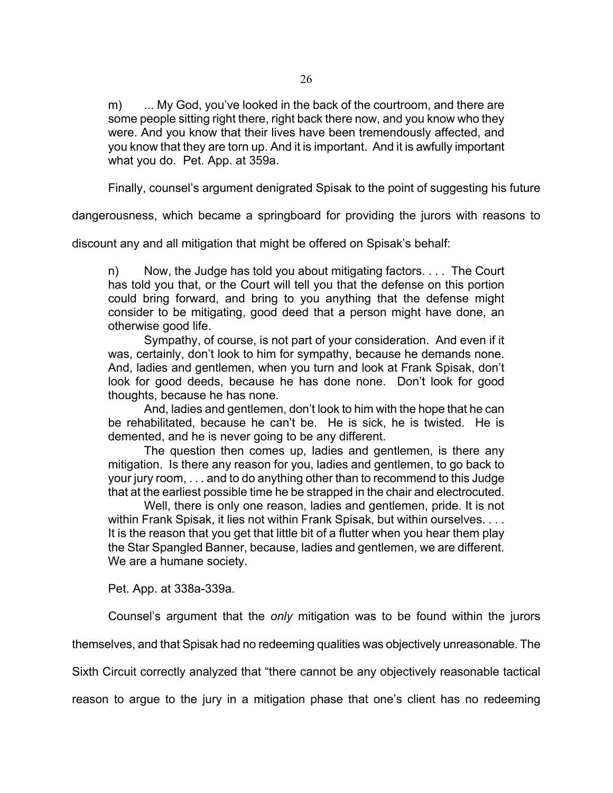m) ... My God, you've looked in the back of the courtroom, and there are some people sitting right there, right back there now, and you know who they were. And you know that their lives have been tremendously affected, and you know that they are torn up. And it is important. And it is awfully important what you do. Pet. App. at 359a.

Finally, counsel's argument denigrated Spisak to the point of suggesting his future

dangerousness, which became a springboard for providing the jurors with reasons to

discount any and all mitigation that might be offered on Spisak's behalf:

n) Now, the Judge has told you about mitigating factors. . . . The Court has told you that, or the Court will tell you that the defense on this portion could bring forward, and bring to you anything that the defense might consider to be mitigating, good deed that a person might have done, an otherwise good life.

Sympathy, of course, is not part of your consideration. And even if it was, certainly, don't look to him for sympathy, because he demands none. And, ladies and gentlemen, when you turn and look at Frank Spisak, don't look for good deeds, because he has done none. Don't look for good thoughts, because he has none.

And, ladies and gentlemen, don't look to him with the hope that he can be rehabilitated, because he can't be. He is sick, he is twisted. He is demented, and he is never going to be any different.

The question then comes up, ladies and gentlemen, is there any mitigation. Is there any reason for you, ladies and gentlemen, to go back to your jury room, . . . and to do anything other than to recommend to this Judge that at the earliest possible time he be strapped in the chair and electrocuted.

Well, there is only one reason, ladies and gentlemen, pride. It is not within Frank Spisak, it lies not within Frank Spisak, but within ourselves. . . . It is the reason that you get that little bit of a flutter when you hear them play the Star Spangled Banner, because, ladies and gentlemen, we are different. We are a humane society.

Pet. App. at 338a-339a.

Counsel's argument that the *only* mitigation was to be found within the jurors

themselves, and that Spisak had no redeeming qualities was objectively unreasonable. The

Sixth Circuit correctly analyzed that "there cannot be any objectively reasonable tactical

reason to argue to the jury in a mitigation phase that one's client has no redeeming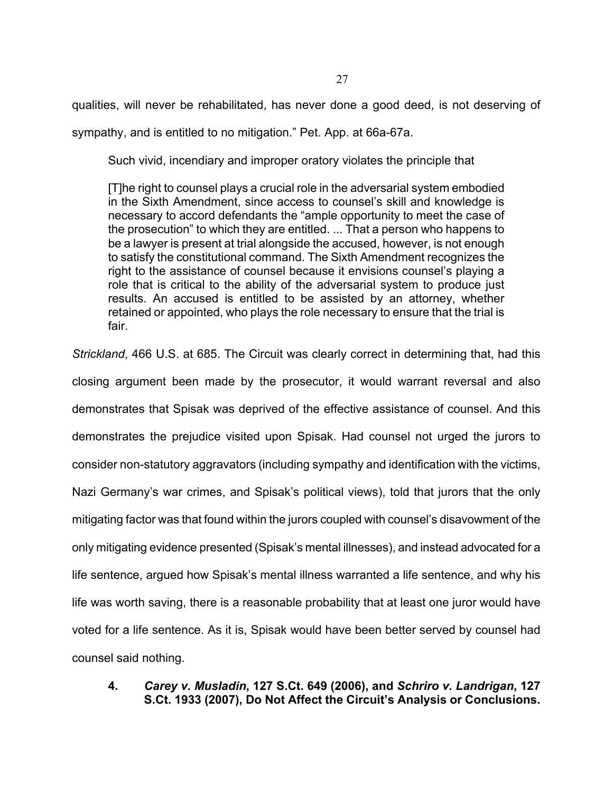qualities, will never be rehabilitated, has never done a good deed, is not deserving of sympathy, and is entitled to no mitigation." Pet. App. at 66a-67a.

Such vivid, incendiary and improper oratory violates the principle that

[T]he right to counsel plays a crucial role in the adversarial system embodied in the Sixth Amendment, since access to counsel's skill and knowledge is necessary to accord defendants the "ample opportunity to meet the case of the prosecution" to which they are entitled. ... That a person who happens to be a lawyer is present at trial alongside the accused, however, is not enough to satisfy the constitutional command. The Sixth Amendment recognizes the right to the assistance of counsel because it envisions counsel's playing a role that is critical to the ability of the adversarial system to produce just results. An accused is entitled to be assisted by an attorney, whether retained or appointed, who plays the role necessary to ensure that the trial is fair.

*Strickland*, 466 U.S. at 685. The Circuit was clearly correct in determining that, had this closing argument been made by the prosecutor, it would warrant reversal and also demonstrates that Spisak was deprived of the effective assistance of counsel. And this demonstrates the prejudice visited upon Spisak. Had counsel not urged the jurors to consider non-statutory aggravators (including sympathy and identification with the victims, Nazi Germany's war crimes, and Spisak's political views), told that jurors that the only mitigating factor was that found within the jurors coupled with counsel's disavowment of the only mitigating evidence presented (Spisak's mental illnesses), and instead advocated for a life sentence, argued how Spisak's mental illness warranted a life sentence, and why his life was worth saving, there is a reasonable probability that at least one juror would have voted for a life sentence. As it is, Spisak would have been better served by counsel had counsel said nothing.

# **4.** *Carey v. Musladin***, 127 S.Ct. 649 (2006), and** *Schriro v. Landrigan***, 127 S.Ct. 1933 (2007), Do Not Affect the Circuit's Analysis or Conclusions.**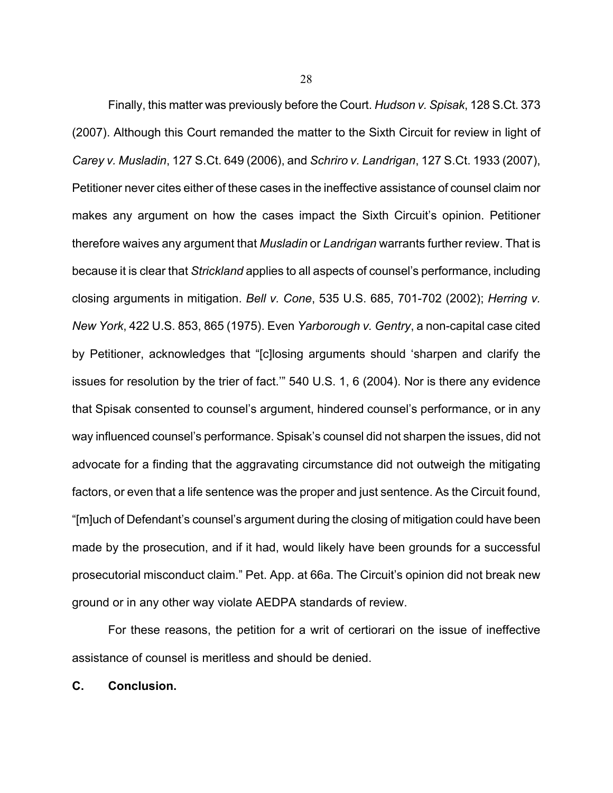Finally, this matter was previously before the Court. *Hudson v. Spisak*, 128 S.Ct. 373 (2007). Although this Court remanded the matter to the Sixth Circuit for review in light of *Carey v. Musladin*, 127 S.Ct. 649 (2006), and *Schriro v. Landrigan*, 127 S.Ct. 1933 (2007), Petitioner never cites either of these cases in the ineffective assistance of counsel claim nor makes any argument on how the cases impact the Sixth Circuit's opinion. Petitioner therefore waives any argument that *Musladin* or *Landrigan* warrants further review. That is because it is clear that *Strickland* applies to all aspects of counsel's performance, including closing arguments in mitigation. *Bell v. Cone*, 535 U.S. 685, 701-702 (2002); *Herring v. New York*, 422 U.S. 853, 865 (1975). Even *Yarborough v. Gentry*, a non-capital case cited by Petitioner, acknowledges that "[c]losing arguments should 'sharpen and clarify the issues for resolution by the trier of fact.'" 540 U.S. 1, 6 (2004). Nor is there any evidence that Spisak consented to counsel's argument, hindered counsel's performance, or in any way influenced counsel's performance. Spisak's counsel did not sharpen the issues, did not advocate for a finding that the aggravating circumstance did not outweigh the mitigating factors, or even that a life sentence was the proper and just sentence. As the Circuit found, "[m]uch of Defendant's counsel's argument during the closing of mitigation could have been made by the prosecution, and if it had, would likely have been grounds for a successful prosecutorial misconduct claim." Pet. App. at 66a. The Circuit's opinion did not break new ground or in any other way violate AEDPA standards of review.

For these reasons, the petition for a writ of certiorari on the issue of ineffective assistance of counsel is meritless and should be denied.

**C. Conclusion.**